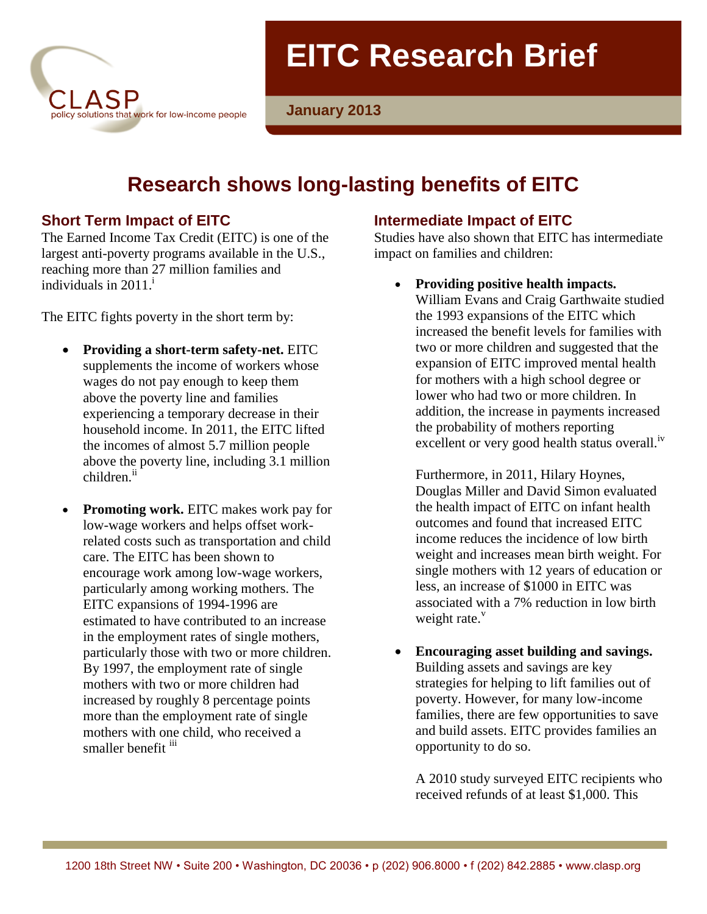

**EITC Research Brief** 

**January 2013**

# **Research shows long-lasting benefits of EITC**

# **Short Term Impact of EITC**

The Earned Income Tax Credit (EITC) is one of the largest anti-poverty programs available in the U.S., reaching more than 27 million families and individuals in  $2011<sup>1</sup>$ 

The EITC fights poverty in the short term by:

- **Providing a short-term safety-net.** EITC supplements the income of workers whose wages do not pay enough to keep them above the poverty line and families experiencing a temporary decrease in their household income. In 2011, the EITC lifted the incomes of almost 5.7 million people above the poverty line, including 3.1 million children.<sup>ii</sup>
- **Promoting work.** EITC makes work pay for low-wage workers and helps offset workrelated costs such as transportation and child care. The EITC has been shown to encourage work among low-wage workers, particularly among working mothers. The EITC expansions of 1994-1996 are estimated to have contributed to an increase in the employment rates of single mothers, particularly those with two or more children. By 1997, the employment rate of single mothers with two or more children had increased by roughly 8 percentage points more than the employment rate of single mothers with one child, who received a smaller benefit iii

# **Intermediate Impact of EITC**

Studies have also shown that EITC has intermediate impact on families and children:

**Providing positive health impacts.** 

William Evans and Craig Garthwaite studied the 1993 expansions of the EITC which increased the benefit levels for families with two or more children and suggested that the expansion of EITC improved mental health for mothers with a high school degree or lower who had two or more children. In addition, the increase in payments increased the probability of mothers reporting excellent or very good health status overall.<sup>iv</sup>

Furthermore, in 2011, Hilary Hoynes, Douglas Miller and David Simon evaluated the health impact of EITC on infant health outcomes and found that increased EITC income reduces the incidence of low birth weight and increases mean birth weight. For single mothers with 12 years of education or less, an increase of \$1000 in EITC was associated with a 7% reduction in low birth weight rate.<sup>v</sup>

 **Encouraging asset building and savings.**  Building assets and savings are key strategies for helping to lift families out of poverty. However, for many low-income families, there are few opportunities to save and build assets. EITC provides families an opportunity to do so.

A 2010 study surveyed EITC recipients who received refunds of at least \$1,000. This